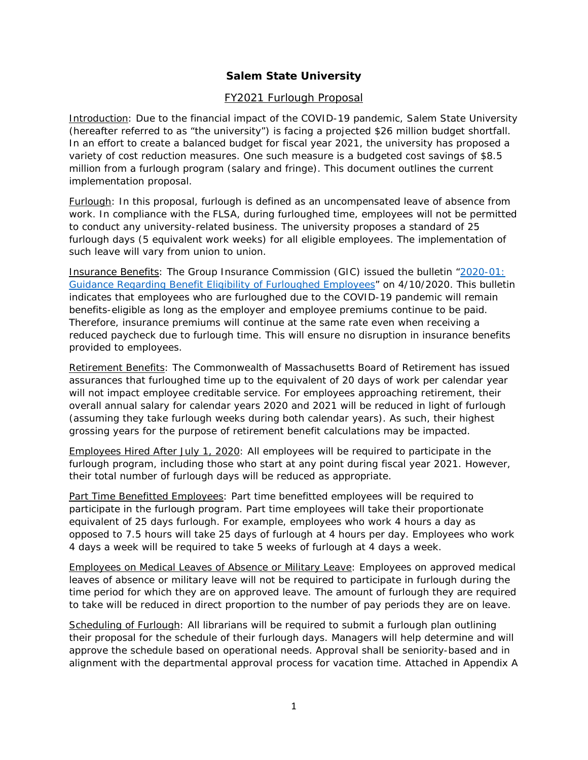### **Salem State University**

#### FY2021 Furlough Proposal

Introduction: Due to the financial impact of the COVID-19 pandemic, Salem State University (hereafter referred to as "the university") is facing a projected \$26 million budget shortfall. In an effort to create a balanced budget for fiscal year 2021, the university has proposed a variety of cost reduction measures. One such measure is a budgeted cost savings of \$8.5 million from a furlough program (salary and fringe). This document outlines the current implementation proposal.

Furlough: In this proposal, furlough is defined as an uncompensated leave of absence from work. In compliance with the FLSA, during furloughed time, employees will not be permitted to conduct any university-related business. The university proposes a standard of 25 furlough days (5 equivalent work weeks) for all eligible employees. The implementation of such leave will vary from union to union.

Insurance Benefits: The Group Insurance Commission (GIC) issued the bulletin ["2020-01:](https://www.mass.gov/administrative-bulletin/2020-01-guidance-regarding-benefit-eligibility-of-furloughed-employees)  [Guidance Regarding Benefit Eligibility of Furloughed Employees"](https://www.mass.gov/administrative-bulletin/2020-01-guidance-regarding-benefit-eligibility-of-furloughed-employees) on 4/10/2020. This bulletin indicates that employees who are furloughed due to the COVID-19 pandemic will remain benefits-eligible as long as the employer and employee premiums continue to be paid. Therefore, insurance premiums will continue at the same rate even when receiving a reduced paycheck due to furlough time. This will ensure no disruption in insurance benefits provided to employees.

Retirement Benefits: The Commonwealth of Massachusetts Board of Retirement has issued assurances that furloughed time up to the equivalent of 20 days of work per calendar year will not impact employee creditable service. For employees approaching retirement, their overall annual salary for calendar years 2020 and 2021 will be reduced in light of furlough (assuming they take furlough weeks during both calendar years). As such, their highest grossing years for the purpose of retirement benefit calculations may be impacted.

Employees Hired After July 1, 2020: All employees will be required to participate in the furlough program, including those who start at any point during fiscal year 2021. However, their total number of furlough days will be reduced as appropriate.

Part Time Benefitted Employees: Part time benefitted employees will be required to participate in the furlough program. Part time employees will take their proportionate equivalent of 25 days furlough. For example, employees who work 4 hours a day as opposed to 7.5 hours will take 25 days of furlough at 4 hours per day. Employees who work 4 days a week will be required to take 5 weeks of furlough at 4 days a week.

Employees on Medical Leaves of Absence or Military Leave: Employees on approved medical leaves of absence or military leave will not be required to participate in furlough during the time period for which they are on approved leave. The amount of furlough they are required to take will be reduced in direct proportion to the number of pay periods they are on leave.

Scheduling of Furlough: All librarians will be required to submit a furlough plan outlining their proposal for the schedule of their furlough days. Managers will help determine and will approve the schedule based on operational needs. Approval shall be seniority-based and in alignment with the departmental approval process for vacation time. Attached in Appendix A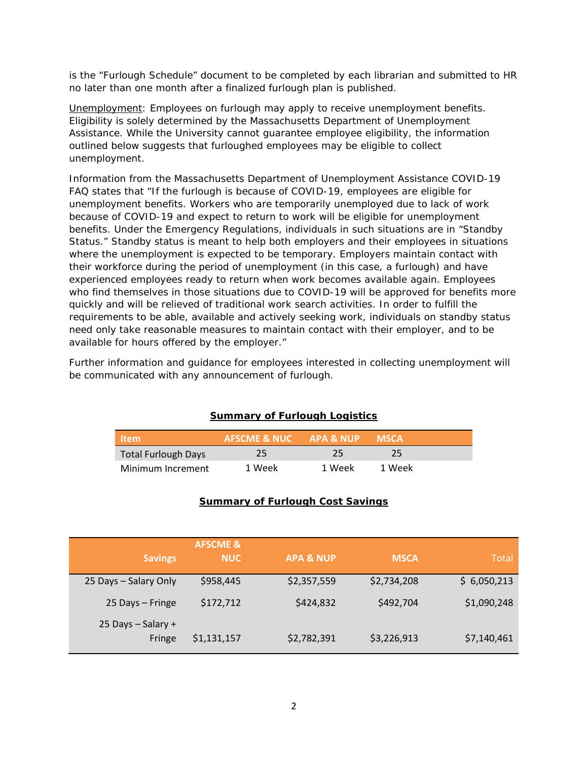is the "Furlough Schedule" document to be completed by each librarian and submitted to HR no later than one month after a finalized furlough plan is published.

Unemployment: Employees on furlough may apply to receive unemployment benefits. Eligibility is solely determined by the Massachusetts Department of Unemployment Assistance. While the University cannot guarantee employee eligibility, the information outlined below suggests that furloughed employees may be eligible to collect unemployment.

Information from the Massachusetts Department of Unemployment Assistance COVID-19 FAQ states that "If the furlough is because of COVID-19, employees are eligible for unemployment benefits. Workers who are temporarily unemployed due to lack of work because of COVID-19 and expect to return to work will be eligible for unemployment benefits. Under the Emergency Regulations, individuals in such situations are in "Standby Status." Standby status is meant to help both employers and their employees in situations where the unemployment is expected to be temporary. Employers maintain contact with their workforce during the period of unemployment (in this case, a furlough) and have experienced employees ready to return when work becomes available again. Employees who find themselves in those situations due to COVID-19 will be approved for benefits more quickly and will be relieved of traditional work search activities. In order to fulfill the requirements to be able, available and actively seeking work, individuals on standby status need only take reasonable measures to maintain contact with their employer, and to be available for hours offered by the employer."

Further information and guidance for employees interested in collecting unemployment will be communicated with any announcement of furlough.

### **Summary of Furlough Logistics**

| <b>Item</b>                | AFSCME & NUC " | <b>APA &amp; NUP</b> | <b>MSCA</b> |  |
|----------------------------|----------------|----------------------|-------------|--|
| <b>Total Furlough Days</b> | 25             | 25                   | 25.         |  |
| Minimum Increment          | 1 Week         | 1 Week               | 1 Week      |  |

#### **Summary of Furlough Cost Savings**

| <b>Savings</b>               | <b>AFSCME &amp;</b><br><b>NUC</b> | <b>APA &amp; NUP</b> | <b>MSCA</b> | <b>Total</b> |
|------------------------------|-----------------------------------|----------------------|-------------|--------------|
| 25 Days - Salary Only        | \$958,445                         | \$2,357,559          | \$2,734,208 | \$6,050,213  |
| 25 Days – Fringe             | \$172,712                         | \$424,832            | \$492,704   | \$1,090,248  |
| 25 Days - Salary +<br>Fringe | \$1,131,157                       | \$2,782,391          | \$3,226,913 | \$7,140,461  |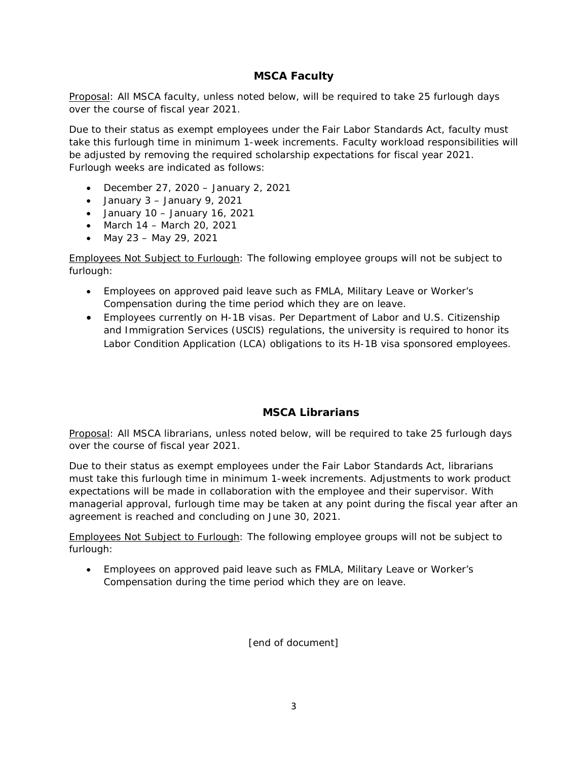### **MSCA Faculty**

Proposal: All MSCA faculty, unless noted below, will be required to take 25 furlough days over the course of fiscal year 2021.

Due to their status as exempt employees under the Fair Labor Standards Act, faculty must take this furlough time in minimum 1-week increments. Faculty workload responsibilities will be adjusted by removing the required scholarship expectations for fiscal year 2021. Furlough weeks are indicated as follows:

- December 27, 2020 January 2, 2021
- January 3 January 9, 2021
- January  $10 -$  January  $16, 2021$
- March 14 March 20, 2021
- May 23 May 29, 2021

Employees Not Subject to Furlough: The following employee groups will not be subject to furlough:

- Employees on approved paid leave such as FMLA, Military Leave or Worker's Compensation during the time period which they are on leave.
- Employees currently on H-1B visas. Per Department of Labor and U.S. Citizenship and Immigration Services (USCIS) regulations, the university is required to honor its Labor Condition Application (LCA) obligations to its H-1B visa sponsored employees.

### **MSCA Librarians**

Proposal: All MSCA librarians, unless noted below, will be required to take 25 furlough days over the course of fiscal year 2021.

Due to their status as exempt employees under the Fair Labor Standards Act, librarians must take this furlough time in minimum 1-week increments. Adjustments to work product expectations will be made in collaboration with the employee and their supervisor. With managerial approval, furlough time may be taken at any point during the fiscal year after an agreement is reached and concluding on June 30, 2021.

Employees Not Subject to Furlough: The following employee groups will not be subject to furlough:

• Employees on approved paid leave such as FMLA, Military Leave or Worker's Compensation during the time period which they are on leave.

[end of document]